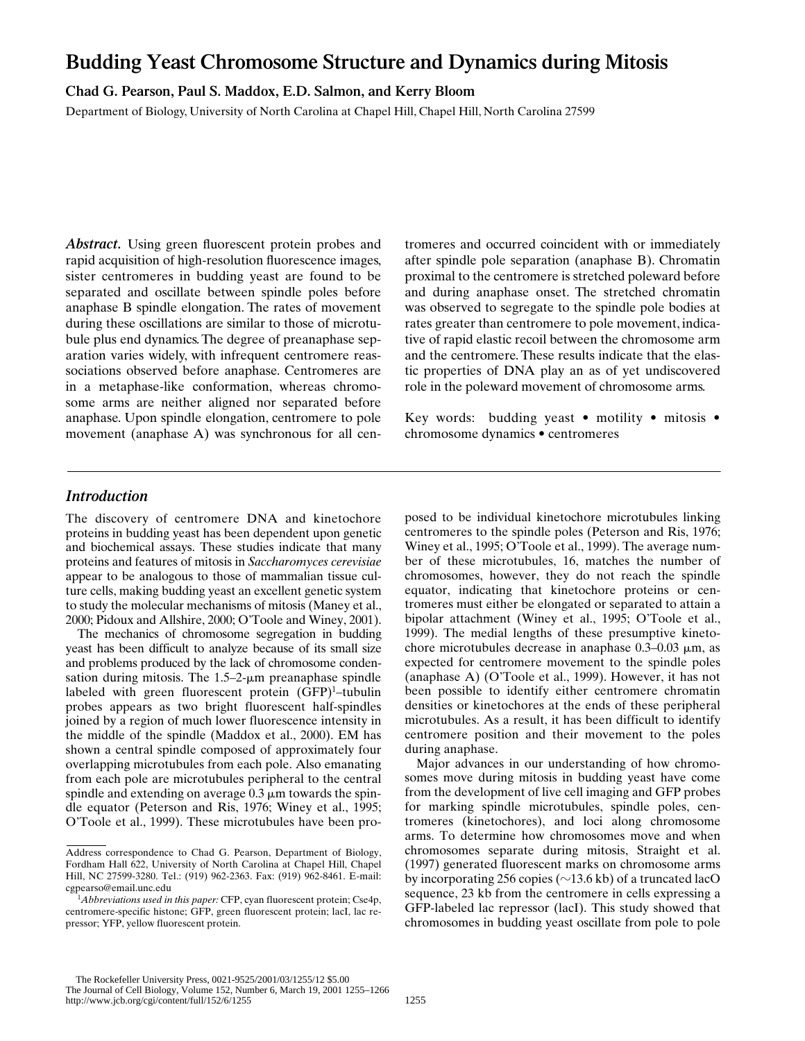# **Budding Yeast Chromosome Structure and Dynamics during Mitosis**

**Chad G. Pearson, Paul S. Maddox, E.D. Salmon, and Kerry Bloom**

Department of Biology, University of North Carolina at Chapel Hill, Chapel Hill, North Carolina 27599

Abstract. Using green fluorescent protein probes and rapid acquisition of high-resolution fluorescence images, sister centromeres in budding yeast are found to be separated and oscillate between spindle poles before anaphase B spindle elongation. The rates of movement during these oscillations are similar to those of microtubule plus end dynamics. The degree of preanaphase separation varies widely, with infrequent centromere reassociations observed before anaphase. Centromeres are in a metaphase-like conformation, whereas chromosome arms are neither aligned nor separated before anaphase. Upon spindle elongation, centromere to pole movement (anaphase A) was synchronous for all centromeres and occurred coincident with or immediately after spindle pole separation (anaphase B). Chromatin proximal to the centromere is stretched poleward before and during anaphase onset. The stretched chromatin was observed to segregate to the spindle pole bodies at rates greater than centromere to pole movement, indicative of rapid elastic recoil between the chromosome arm and the centromere. These results indicate that the elastic properties of DNA play an as of yet undiscovered role in the poleward movement of chromosome arms.

Key words: budding yeast • motility • mitosis • chromosome dynamics • centromeres

# *Introduction*

The discovery of centromere DNA and kinetochore proteins in budding yeast has been dependent upon genetic and biochemical assays. These studies indicate that many proteins and features of mitosis in *Saccharomyces cerevisiae* appear to be analogous to those of mammalian tissue culture cells, making budding yeast an excellent genetic system to study the molecular mechanisms of mitosis (Maney et al., 2000; Pidoux and Allshire, 2000; O'Toole and Winey, 2001).

The mechanics of chromosome segregation in budding yeast has been difficult to analyze because of its small size and problems produced by the lack of chromosome condensation during mitosis. The  $1.5-2$ - $\mu$ m preanaphase spindle labeled with green fluorescent protein (GFP)<sup>1</sup>-tubulin probes appears as two bright fluorescent half-spindles joined by a region of much lower fluorescence intensity in the middle of the spindle (Maddox et al., 2000). EM has shown a central spindle composed of approximately four overlapping microtubules from each pole. Also emanating from each pole are microtubules peripheral to the central spindle and extending on average  $0.3 \mu$ m towards the spindle equator (Peterson and Ris, 1976; Winey et al., 1995; O'Toole et al., 1999). These microtubules have been pro-

posed to be individual kinetochore microtubules linking centromeres to the spindle poles (Peterson and Ris, 1976; Winey et al., 1995; O'Toole et al., 1999). The average number of these microtubules, 16, matches the number of chromosomes, however, they do not reach the spindle equator, indicating that kinetochore proteins or centromeres must either be elongated or separated to attain a bipolar attachment (Winey et al., 1995; O'Toole et al., 1999). The medial lengths of these presumptive kinetochore microtubules decrease in anaphase  $0.3-0.03 \mu m$ , as expected for centromere movement to the spindle poles (anaphase A) (O'Toole et al., 1999). However, it has not been possible to identify either centromere chromatin densities or kinetochores at the ends of these peripheral microtubules. As a result, it has been difficult to identify centromere position and their movement to the poles during anaphase.

Major advances in our understanding of how chromosomes move during mitosis in budding yeast have come from the development of live cell imaging and GFP probes for marking spindle microtubules, spindle poles, centromeres (kinetochores), and loci along chromosome arms. To determine how chromosomes move and when chromosomes separate during mitosis, Straight et al. (1997) generated fluorescent marks on chromosome arms by incorporating 256 copies ( $\sim$ 13.6 kb) of a truncated lacO sequence, 23 kb from the centromere in cells expressing a GFP-labeled lac repressor (lacI). This study showed that chromosomes in budding yeast oscillate from pole to pole

Address correspondence to Chad G. Pearson, Department of Biology, Fordham Hall 622, University of North Carolina at Chapel Hill, Chapel Hill, NC 27599-3280. Tel.: (919) 962-2363. Fax: (919) 962-8461. E-mail: cgpearso@email.unc.edu

<sup>&</sup>lt;sup>1</sup>Abbreviations used in this paper: CFP, cyan fluorescent protein; Cse4p, centromere-specific histone; GFP, green fluorescent protein; lacI, lac repressor; YFP, yellow fluorescent protein.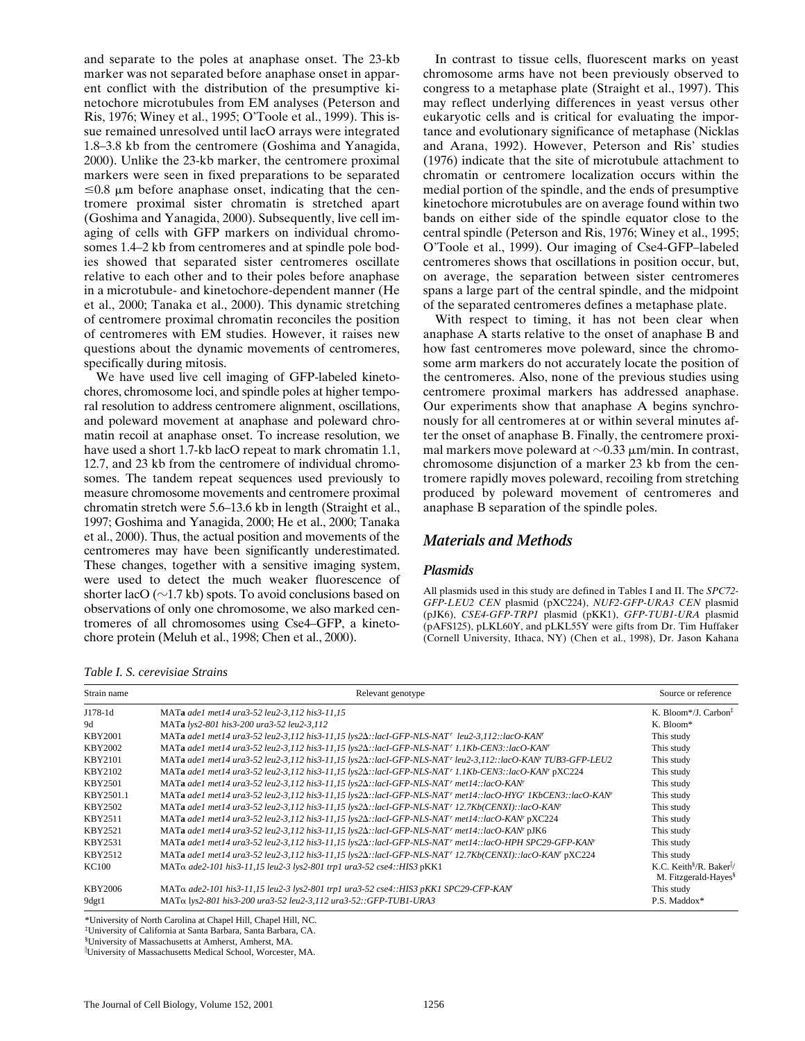and separate to the poles at anaphase onset. The 23-kb marker was not separated before anaphase onset in apparent conflict with the distribution of the presumptive kinetochore microtubules from EM analyses (Peterson and Ris, 1976; Winey et al., 1995; O'Toole et al., 1999). This issue remained unresolved until lacO arrays were integrated 1.8–3.8 kb from the centromere (Goshima and Yanagida, 2000). Unlike the 23-kb marker, the centromere proximal markers were seen in fixed preparations to be separated  $\leq 0.8$  µm before anaphase onset, indicating that the centromere proximal sister chromatin is stretched apart (Goshima and Yanagida, 2000). Subsequently, live cell imaging of cells with GFP markers on individual chromosomes 1.4–2 kb from centromeres and at spindle pole bodies showed that separated sister centromeres oscillate relative to each other and to their poles before anaphase in a microtubule- and kinetochore-dependent manner (He et al., 2000; Tanaka et al., 2000). This dynamic stretching of centromere proximal chromatin reconciles the position of centromeres with EM studies. However, it raises new questions about the dynamic movements of centromeres, specifically during mitosis.

We have used live cell imaging of GFP-labeled kinetochores, chromosome loci, and spindle poles at higher temporal resolution to address centromere alignment, oscillations, and poleward movement at anaphase and poleward chromatin recoil at anaphase onset. To increase resolution, we have used a short 1.7-kb lacO repeat to mark chromatin 1.1, 12.7, and 23 kb from the centromere of individual chromosomes. The tandem repeat sequences used previously to measure chromosome movements and centromere proximal chromatin stretch were 5.6–13.6 kb in length (Straight et al., 1997; Goshima and Yanagida, 2000; He et al., 2000; Tanaka et al., 2000). Thus, the actual position and movements of the centromeres may have been significantly underestimated. These changes, together with a sensitive imaging system, were used to detect the much weaker fluorescence of shorter lacO ( $\sim$ 1.7 kb) spots. To avoid conclusions based on observations of only one chromosome, we also marked centromeres of all chromosomes using Cse4–GFP, a kinetochore protein (Meluh et al., 1998; Chen et al., 2000).

*Table I. S. cerevisiae Strains*

In contrast to tissue cells, fluorescent marks on yeast chromosome arms have not been previously observed to congress to a metaphase plate (Straight et al., 1997). This may reflect underlying differences in yeast versus other eukaryotic cells and is critical for evaluating the importance and evolutionary significance of metaphase (Nicklas and Arana, 1992). However, Peterson and Ris' studies (1976) indicate that the site of microtubule attachment to chromatin or centromere localization occurs within the medial portion of the spindle, and the ends of presumptive kinetochore microtubules are on average found within two bands on either side of the spindle equator close to the central spindle (Peterson and Ris, 1976; Winey et al., 1995; O'Toole et al., 1999). Our imaging of Cse4-GFP–labeled centromeres shows that oscillations in position occur, but, on average, the separation between sister centromeres spans a large part of the central spindle, and the midpoint of the separated centromeres defines a metaphase plate.

With respect to timing, it has not been clear when anaphase A starts relative to the onset of anaphase B and how fast centromeres move poleward, since the chromosome arm markers do not accurately locate the position of the centromeres. Also, none of the previous studies using centromere proximal markers has addressed anaphase. Our experiments show that anaphase A begins synchronously for all centromeres at or within several minutes after the onset of anaphase B. Finally, the centromere proximal markers move poleward at  $\sim$ 0.33  $\mu$ m/min. In contrast, chromosome disjunction of a marker 23 kb from the centromere rapidly moves poleward, recoiling from stretching produced by poleward movement of centromeres and anaphase B separation of the spindle poles.

# *Materials and Methods*

# *Plasmids*

All plasmids used in this study are defined in Tables I and II. The *SPC72- GFP-LEU2 CEN* plasmid (pXC224), *NUF2-GFP-URA3 CEN* plasmid (pJK6), *CSE4-GFP-TRP1* plasmid (pKK1), *GFP-TUB1-URA* plasmid (pAFS125), pLKL60Y, and pLKL55Y were gifts from Dr. Tim Huffaker (Cornell University, Ithaca, NY) (Chen et al., 1998), Dr. Jason Kahana

| Strain name    | Relevant genotype                                                                                                   | Source or reference                                                                  |  |  |
|----------------|---------------------------------------------------------------------------------------------------------------------|--------------------------------------------------------------------------------------|--|--|
| J178-1d        | MATa ade1 met14 ura3-52 leu2-3,112 his3-11,15                                                                       | K. Bloom*/J. Carbon $\frac{1}{2}$                                                    |  |  |
| 9d             | MATa lys2-801 his3-200 ura3-52 leu2-3,112                                                                           | K. Bloom*                                                                            |  |  |
| <b>KBY2001</b> | MATa ade1 met14 ura3-52 leu2-3,112 his3-11,15 lys2 $\Delta$ ::lacI-GFP-NLS-NAT' leu2-3,112::lacO-KAN'               | This study                                                                           |  |  |
| <b>KBY2002</b> | MATa ade1 met14 ura3-52 leu2-3,112 his3-11,15 lys2 $\Delta$ ::lacI-GFP-NLS-NAT' 1.1Kb-CEN3::lacO-KAN'               | This study                                                                           |  |  |
| KBY2101        | MATa ade1 met14 ura3-52 leu2-3,112 his3-11,15 lys2 $\Delta$ ::lacI-GFP-NLS-NAT' leu2-3,112::lacO-KAN' TUB3-GFP-LEU2 | This study                                                                           |  |  |
| KBY2102        | MATa ade1 met14 ura3-52 leu2-3,112 his3-11,15 lys2 $\Delta$ ::lacI-GFP-NLS-NAT' 1.1Kb-CEN3::lacO-KAN' pXC224        | This study                                                                           |  |  |
| KBY2501        | MATa ade1 met14 ura3-52 leu2-3,112 his3-11,15 lys2 $\Delta$ ::lacI-GFP-NLS-NAT' met14::lacO-KAN'                    | This study                                                                           |  |  |
| KBY2501.1      | MATa ade1 met14 ura3-52 leu2-3,112 his3-11,15 lys2 $\Delta$ ::lacI-GFP-NLS-NAT' met14::lacO-HYG' 1KbCEN3::lacO-KAN' | This study                                                                           |  |  |
| KBY2502        | MATa ade1 met14 ura3-52 leu2-3,112 his3-11,15 lys2 $\Delta$ ::lacI-GFP-NLS-NAT' 12.7Kb(CENXI)::lacO-KAN'            | This study                                                                           |  |  |
| KBY2511        | MATa ade1 met14 ura3-52 leu2-3,112 his3-11,15 lys2 $\Delta$ ::lacI-GFP-NLS-NAT' met14::lacO-KAN' pXC224             | This study                                                                           |  |  |
| KBY2521        | MATa ade1 met14 ura3-52 leu2-3,112 his3-11,15 lys2 $\Delta$ ::lac1-GFP-NLS-NAT' met14::lacO-KAN' pJK6               | This study                                                                           |  |  |
| KBY2531        | MATa ade1 met14 ura3-52 leu2-3,112 his3-11,15 lys2 $\Delta$ ::lacI-GFP-NLS-NAT' met14::lacO-HPH SPC29-GFP-KAN'      | This study                                                                           |  |  |
| KBY2512        | MATa ade1 met14 ura3-52 leu2-3,112 his3-11,15 lys2 $\Delta$ ::lac1-GFP-NLS-NAT' 12.7Kb(CENXI)::lacO-KAN' pXC224     | This study                                                                           |  |  |
| KC100          | MATα ade2-101 his3-11,15 leu2-3 lys2-801 trp1 ura3-52 cse4:: HIS3 pKK1                                              | K.C. Keith <sup>§</sup> /R. Baker <sup> </sup> /<br>M. Fitzgerald-Hayes <sup>§</sup> |  |  |
| KBY2006        | MATα ade2-101 his3-11,15 leu2-3 lys2-801 trp1 ura3-52 cse4:: HIS3 pKK1 SPC29-CFP-KAN                                | This study                                                                           |  |  |
| 9dgt1          | MATα lys2-801 his3-200 ura3-52 leu2-3,112 ura3-52::GFP-TUB1-URA3                                                    | P.S. Maddox*                                                                         |  |  |

\*University of North Carolina at Chapel Hill, Chapel Hill, NC.

‡ University of California at Santa Barbara, Santa Barbara, CA.

§ University of Massachusetts at Amherst, Amherst, MA.

University of Massachusetts Medical School, Worcester, MA.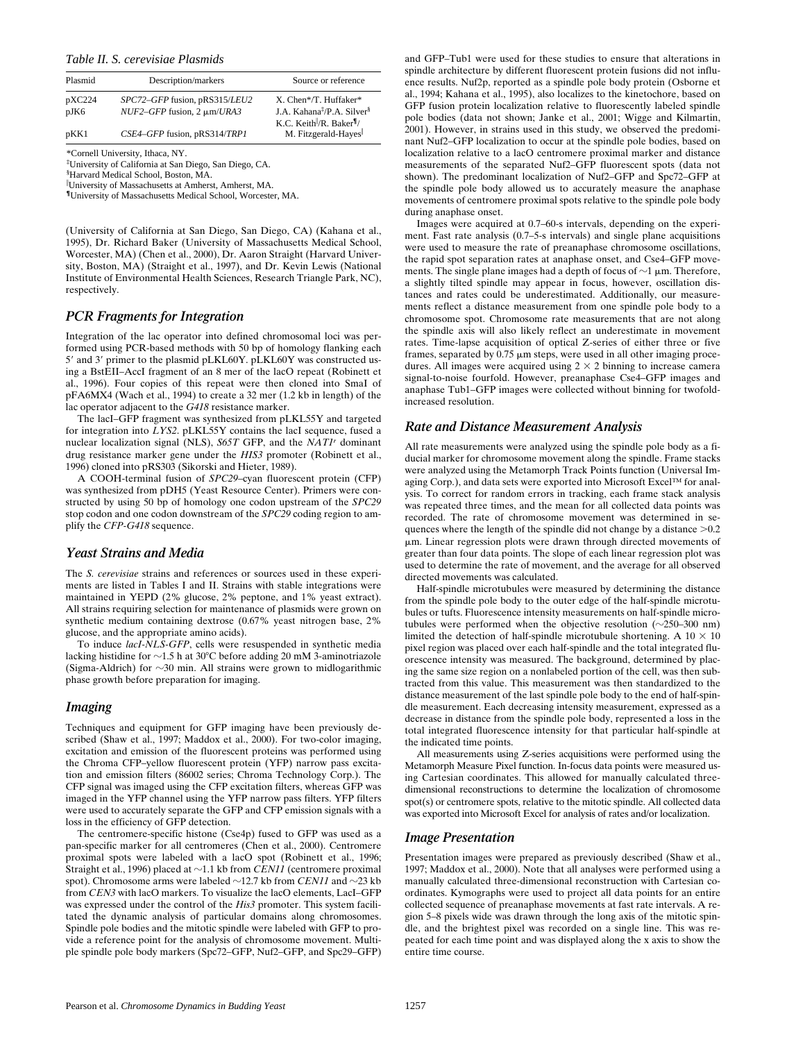*Table II. S. cerevisiae Plasmids*

| Plasmid        | Description/markers                                                | Source or reference                                                                                                          |  |  |  |  |
|----------------|--------------------------------------------------------------------|------------------------------------------------------------------------------------------------------------------------------|--|--|--|--|
| pXC224<br>pJK6 | SPC72-GFP fusion, pRS315/LEU2<br>$NUF2-GFP$ fusion, 2 $\mu$ m/URA3 | X. Chen*/T. Huffaker*<br>J.A. Kahana <sup>‡</sup> /P.A. Silver <sup>§</sup><br>K.C. Keith $\mathbb{R}$ . Baker $\mathbb{I}/$ |  |  |  |  |
| pKK1           | $CSE4-GFP$ fusion, pRS314/TRP1                                     | M. Fitzgerald-Hayes                                                                                                          |  |  |  |  |

\*Cornell University, Ithaca, NY.

‡ University of California at San Diego, San Diego, CA.

§ Harvard Medical School, Boston, MA.

University of Massachusetts at Amherst, Amherst, MA.

**¶**University of Massachusetts Medical School, Worcester, MA.

(University of California at San Diego, San Diego, CA) (Kahana et al., 1995), Dr. Richard Baker (University of Massachusetts Medical School, Worcester, MA) (Chen et al., 2000), Dr. Aaron Straight (Harvard University, Boston, MA) (Straight et al., 1997), and Dr. Kevin Lewis (National Institute of Environmental Health Sciences, Research Triangle Park, NC), respectively.

#### *PCR Fragments for Integration*

Integration of the lac operator into defined chromosomal loci was performed using PCR-based methods with 50 bp of homology flanking each 5' and 3' primer to the plasmid pLKL60Y. pLKL60Y was constructed using a BstEII–AccI fragment of an 8 mer of the lacO repeat (Robinett et al., 1996). Four copies of this repeat were then cloned into SmaI of pFA6MX4 (Wach et al., 1994) to create a 32 mer (1.2 kb in length) of the lac operator adjacent to the *G418* resistance marker.

The lacI–GFP fragment was synthesized from pLKL55Y and targeted for integration into *LYS2*. pLKL55Y contains the lacI sequence, fused a nuclear localization signal (NLS), *S65T* GFP, and the *NAT1r* dominant drug resistance marker gene under the *HIS3* promoter (Robinett et al., 1996) cloned into pRS303 (Sikorski and Hieter, 1989).

A COOH-terminal fusion of *SPC29*–cyan fluorescent protein (CFP) was synthesized from pDH5 (Yeast Resource Center). Primers were constructed by using 50 bp of homology one codon upstream of the *SPC29* stop codon and one codon downstream of the *SPC29* coding region to amplify the *CFP-G418* sequence.

#### *Yeast Strains and Media*

The *S. cerevisiae* strains and references or sources used in these experiments are listed in Tables I and II. Strains with stable integrations were maintained in YEPD (2% glucose, 2% peptone, and 1% yeast extract). All strains requiring selection for maintenance of plasmids were grown on synthetic medium containing dextrose (0.67% yeast nitrogen base, 2% glucose, and the appropriate amino acids).

To induce *lacI-NLS-GFP*, cells were resuspended in synthetic media lacking histidine for  $\sim$ 1.5 h at 30°C before adding 20 mM 3-aminotriazole (Sigma-Aldrich) for  $\sim$ 30 min. All strains were grown to midlogarithmic phase growth before preparation for imaging.

#### *Imaging*

Techniques and equipment for GFP imaging have been previously described (Shaw et al., 1997; Maddox et al., 2000). For two-color imaging, excitation and emission of the fluorescent proteins was performed using the Chroma CFP–yellow fluorescent protein (YFP) narrow pass excitation and emission filters (86002 series; Chroma Technology Corp.). The CFP signal was imaged using the CFP excitation filters, whereas GFP was imaged in the YFP channel using the YFP narrow pass filters. YFP filters were used to accurately separate the GFP and CFP emission signals with a loss in the efficiency of GFP detection.

The centromere-specific histone (Cse4p) fused to GFP was used as a pan-specific marker for all centromeres (Chen et al., 2000). Centromere proximal spots were labeled with a lacO spot (Robinett et al., 1996; Straight et al., 1996) placed at  $\sim$ 1.1 kb from *CEN11* (centromere proximal spot). Chromosome arms were labeled  $\sim$ 12.7 kb from *CEN11* and  $\sim$ 23 kb from *CEN3* with lacO markers. To visualize the lacO elements, LacI–GFP was expressed under the control of the *His3* promoter. This system facilitated the dynamic analysis of particular domains along chromosomes. Spindle pole bodies and the mitotic spindle were labeled with GFP to provide a reference point for the analysis of chromosome movement. Multiple spindle pole body markers (Spc72–GFP, Nuf2–GFP, and Spc29–GFP) and GFP–Tub1 were used for these studies to ensure that alterations in spindle architecture by different fluorescent protein fusions did not influence results. Nuf2p, reported as a spindle pole body protein (Osborne et al., 1994; Kahana et al., 1995), also localizes to the kinetochore, based on GFP fusion protein localization relative to fluorescently labeled spindle pole bodies (data not shown; Janke et al., 2001; Wigge and Kilmartin, 2001). However, in strains used in this study, we observed the predominant Nuf2–GFP localization to occur at the spindle pole bodies, based on localization relative to a lacO centromere proximal marker and distance measurements of the separated Nuf2–GFP fluorescent spots (data not shown). The predominant localization of Nuf2–GFP and Spc72–GFP at the spindle pole body allowed us to accurately measure the anaphase movements of centromere proximal spots relative to the spindle pole body during anaphase onset.

Images were acquired at 0.7–60-s intervals, depending on the experiment. Fast rate analysis (0.7–5-s intervals) and single plane acquisitions were used to measure the rate of preanaphase chromosome oscillations, the rapid spot separation rates at anaphase onset, and Cse4–GFP movements. The single plane images had a depth of focus of  $\sim$ 1  $\mu$ m. Therefore, a slightly tilted spindle may appear in focus, however, oscillation distances and rates could be underestimated. Additionally, our measurements reflect a distance measurement from one spindle pole body to a chromosome spot. Chromosome rate measurements that are not along the spindle axis will also likely reflect an underestimate in movement rates. Time-lapse acquisition of optical Z-series of either three or five frames, separated by  $0.75 \mu m$  steps, were used in all other imaging procedures. All images were acquired using  $2 \times 2$  binning to increase camera signal-to-noise fourfold. However, preanaphase Cse4–GFP images and anaphase Tub1–GFP images were collected without binning for twofoldincreased resolution.

#### *Rate and Distance Measurement Analysis*

All rate measurements were analyzed using the spindle pole body as a fiducial marker for chromosome movement along the spindle. Frame stacks were analyzed using the Metamorph Track Points function (Universal Imaging Corp.), and data sets were exported into Microsoft Excel™ for analysis. To correct for random errors in tracking, each frame stack analysis was repeated three times, and the mean for all collected data points was recorded. The rate of chromosome movement was determined in sequences where the length of the spindle did not change by a distance  $>0.2$ mm. Linear regression plots were drawn through directed movements of greater than four data points. The slope of each linear regression plot was used to determine the rate of movement, and the average for all observed directed movements was calculated.

Half-spindle microtubules were measured by determining the distance from the spindle pole body to the outer edge of the half-spindle microtubules or tufts. Fluorescence intensity measurements on half-spindle microtubules were performed when the objective resolution  $(\sim 250-300 \text{ nm})$ limited the detection of half-spindle microtubule shortening. A  $10 \times 10$ pixel region was placed over each half-spindle and the total integrated fluorescence intensity was measured. The background, determined by placing the same size region on a nonlabeled portion of the cell, was then subtracted from this value. This measurement was then standardized to the distance measurement of the last spindle pole body to the end of half-spindle measurement. Each decreasing intensity measurement, expressed as a decrease in distance from the spindle pole body, represented a loss in the total integrated fluorescence intensity for that particular half-spindle at the indicated time points.

All measurements using Z-series acquisitions were performed using the Metamorph Measure Pixel function. In-focus data points were measured using Cartesian coordinates. This allowed for manually calculated threedimensional reconstructions to determine the localization of chromosome spot(s) or centromere spots, relative to the mitotic spindle. All collected data was exported into Microsoft Excel for analysis of rates and/or localization.

#### *Image Presentation*

Presentation images were prepared as previously described (Shaw et al., 1997; Maddox et al., 2000). Note that all analyses were performed using a manually calculated three-dimensional reconstruction with Cartesian coordinates. Kymographs were used to project all data points for an entire collected sequence of preanaphase movements at fast rate intervals. A region 5–8 pixels wide was drawn through the long axis of the mitotic spindle, and the brightest pixel was recorded on a single line. This was repeated for each time point and was displayed along the x axis to show the entire time course.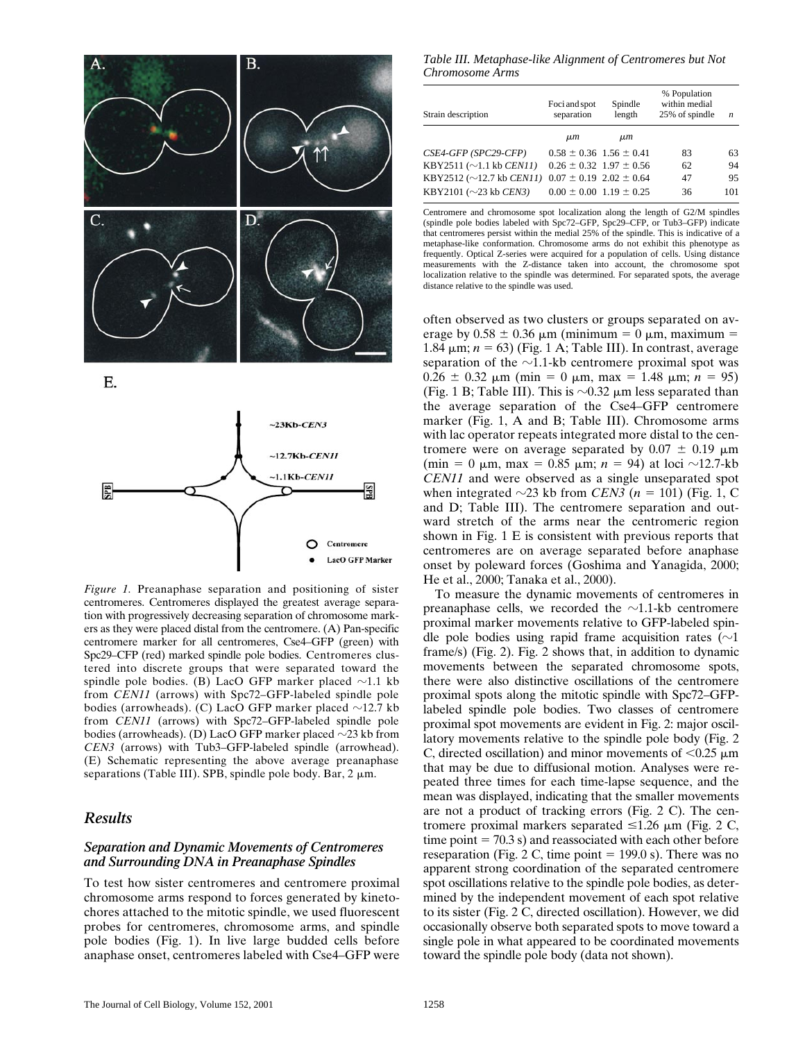



*Figure 1.* Preanaphase separation and positioning of sister centromeres. Centromeres displayed the greatest average separation with progressively decreasing separation of chromosome markers as they were placed distal from the centromere. (A) Pan-specific centromere marker for all centromeres, Cse4–GFP (green) with Spc29–CFP (red) marked spindle pole bodies. Centromeres clustered into discrete groups that were separated toward the spindle pole bodies. (B) LacO GFP marker placed  $\sim$ 1.1 kb from *CEN11* (arrows) with Spc72–GFP-labeled spindle pole bodies (arrowheads). (C) LacO GFP marker placed  $\sim$ 12.7 kb from *CEN11* (arrows) with Spc72–GFP-labeled spindle pole bodies (arrowheads). (D) LacO GFP marker placed  $\sim$ 23 kb from *CEN3* (arrows) with Tub3–GFP-labeled spindle (arrowhead). (E) Schematic representing the above average preanaphase separations (Table III). SPB, spindle pole body. Bar,  $2 \mu m$ .

# *Results*

# *Separation and Dynamic Movements of Centromeres and Surrounding DNA in Preanaphase Spindles*

To test how sister centromeres and centromere proximal chromosome arms respond to forces generated by kinetochores attached to the mitotic spindle, we used fluorescent probes for centromeres, chromosome arms, and spindle pole bodies (Fig. 1). In live large budded cells before anaphase onset, centromeres labeled with Cse4–GFP were

*Table III. Metaphase-like Alignment of Centromeres but Not Chromosome Arms* 

| Strain description                      | Foci and spot<br>separation     | Spindle<br>length               | % Population<br>within medial<br>25% of spindle | n   |  |
|-----------------------------------------|---------------------------------|---------------------------------|-------------------------------------------------|-----|--|
|                                         | $\mu$ m                         | $\mu$ m                         |                                                 |     |  |
| CSE4-GFP (SPC29-CFP)                    | $0.58 \pm 0.36$ 1.56 $\pm$ 0.41 |                                 | 83                                              | 63  |  |
| KBY2511 ( $\sim$ 1.1 kb <i>CEN11</i> )  |                                 | $0.26 \pm 0.32$ 1.97 $\pm$ 0.56 | 62                                              | 94  |  |
| KBY2512 ( $\sim$ 12.7 kb <i>CEN11</i> ) | $0.07 \pm 0.19$ 2.02 $\pm$ 0.64 |                                 | 47                                              | 95  |  |
| KBY2101 ( $\sim$ 23 kb CEN3)            | $0.00 \pm 0.00$ 1.19 $\pm$ 0.25 |                                 | 36                                              | 101 |  |

Centromere and chromosome spot localization along the length of G2/M spindles (spindle pole bodies labeled with Spc72–GFP, Spc29–CFP, or Tub3–GFP) indicate that centromeres persist within the medial 25% of the spindle. This is indicative of a metaphase-like conformation. Chromosome arms do not exhibit this phenotype as frequently. Optical Z-series were acquired for a population of cells. Using distance measurements with the Z-distance taken into account, the chromosome spot localization relative to the spindle was determined. For separated spots, the average distance relative to the spindle was used.

often observed as two clusters or groups separated on average by  $0.58 \pm 0.36$  µm (minimum = 0 µm, maximum = 1.84  $\mu$ m; *n* = 63) (Fig. 1 A; Table III). In contrast, average separation of the  $\sim$ 1.1-kb centromere proximal spot was  $0.26 \pm 0.32$   $\mu$ m (min = 0  $\mu$ m, max = 1.48  $\mu$ m; *n* = 95) (Fig. 1 B; Table III). This is  $\sim 0.32$  µm less separated than the average separation of the Cse4–GFP centromere marker (Fig. 1, A and B; Table III). Chromosome arms with lac operator repeats integrated more distal to the centromere were on average separated by  $0.07 \pm 0.19$  µm (min = 0  $\mu$ m, max = 0.85  $\mu$ m; *n* = 94) at loci ~12.7-kb *CEN11* and were observed as a single unseparated spot when integrated  $\sim$ 23 kb from *CEN3* ( $n = 101$ ) (Fig. 1, C and D; Table III). The centromere separation and outward stretch of the arms near the centromeric region shown in Fig. 1 E is consistent with previous reports that centromeres are on average separated before anaphase onset by poleward forces (Goshima and Yanagida, 2000; He et al., 2000; Tanaka et al., 2000).

To measure the dynamic movements of centromeres in preanaphase cells, we recorded the  $\sim$ 1.1-kb centromere proximal marker movements relative to GFP-labeled spindle pole bodies using rapid frame acquisition rates ( $\sim$ 1 frame/s) (Fig. 2). Fig. 2 shows that, in addition to dynamic movements between the separated chromosome spots, there were also distinctive oscillations of the centromere proximal spots along the mitotic spindle with Spc72–GFPlabeled spindle pole bodies. Two classes of centromere proximal spot movements are evident in Fig. 2: major oscillatory movements relative to the spindle pole body (Fig. 2 C, directed oscillation) and minor movements of  $< 0.25 \mu m$ that may be due to diffusional motion. Analyses were repeated three times for each time-lapse sequence, and the mean was displayed, indicating that the smaller movements are not a product of tracking errors (Fig. 2 C). The centromere proximal markers separated  $\leq 1.26$  µm (Fig. 2 C, time point  $= 70.3$  s) and reassociated with each other before reseparation (Fig. 2 C, time point  $= 199.0$  s). There was no apparent strong coordination of the separated centromere spot oscillations relative to the spindle pole bodies, as determined by the independent movement of each spot relative to its sister (Fig. 2 C, directed oscillation). However, we did occasionally observe both separated spots to move toward a single pole in what appeared to be coordinated movements toward the spindle pole body (data not shown).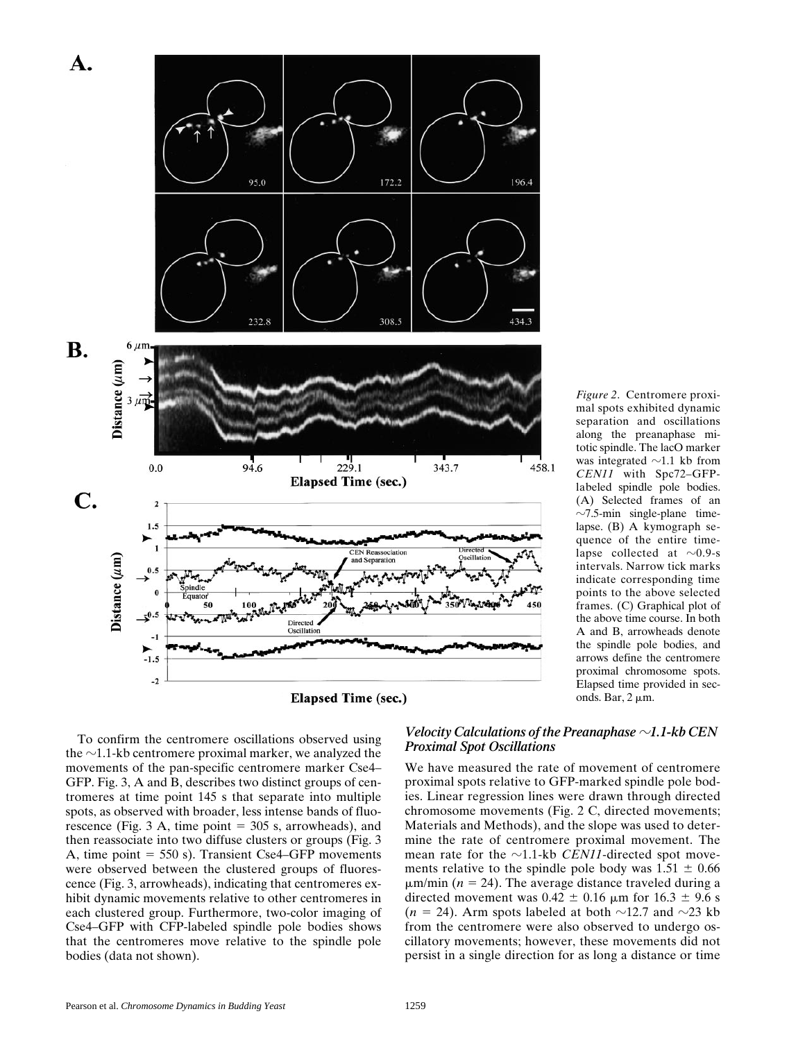



*Figure 2*. Centromere proximal spots exhibited dynamic separation and oscillations along the preanaphase mitotic spindle. The lacO marker was integrated  $\sim$ 1.1 kb from *CEN11* with Spc72–GFPlabeled spindle pole bodies. (A) Selected frames of an  $\sim$ 7.5-min single-plane timelapse. (B) A kymograph sequence of the entire timelapse collected at  $\sim$ 0.9-s intervals. Narrow tick marks indicate corresponding time points to the above selected frames. (C) Graphical plot of the above time course. In both A and B, arrowheads denote the spindle pole bodies, and arrows define the centromere proximal chromosome spots. Elapsed time provided in seconds. Bar,  $2 \mu m$ .

To confirm the centromere oscillations observed using the  $\sim$ 1.1-kb centromere proximal marker, we analyzed the movements of the pan-specific centromere marker Cse4– GFP. Fig. 3, A and B, describes two distinct groups of centromeres at time point 145 s that separate into multiple spots, as observed with broader, less intense bands of fluorescence (Fig. 3 A, time point  $= 305$  s, arrowheads), and then reassociate into two diffuse clusters or groups (Fig. 3 A, time point  $= 550$  s). Transient Cse4–GFP movements were observed between the clustered groups of fluorescence (Fig. 3, arrowheads), indicating that centromeres exhibit dynamic movements relative to other centromeres in each clustered group. Furthermore, two-color imaging of Cse4–GFP with CFP-labeled spindle pole bodies shows that the centromeres move relative to the spindle pole bodies (data not shown).

## *Velocity Calculations of the Preanaphase*  $\sim$ 1.1-kb CEN *Proximal Spot Oscillations*

We have measured the rate of movement of centromere proximal spots relative to GFP-marked spindle pole bodies. Linear regression lines were drawn through directed chromosome movements (Fig. 2 C, directed movements; Materials and Methods), and the slope was used to determine the rate of centromere proximal movement. The mean rate for the  $\sim$ 1.1-kb *CEN11*-directed spot movements relative to the spindle pole body was  $1.51 \pm 0.66$  $\mu$ m/min ( $n = 24$ ). The average distance traveled during a directed movement was  $0.42 \pm 0.16$  µm for  $16.3 \pm 9.6$  s  $(n = 24)$ . Arm spots labeled at both  $\sim$ 12.7 and  $\sim$ 23 kb from the centromere were also observed to undergo oscillatory movements; however, these movements did not persist in a single direction for as long a distance or time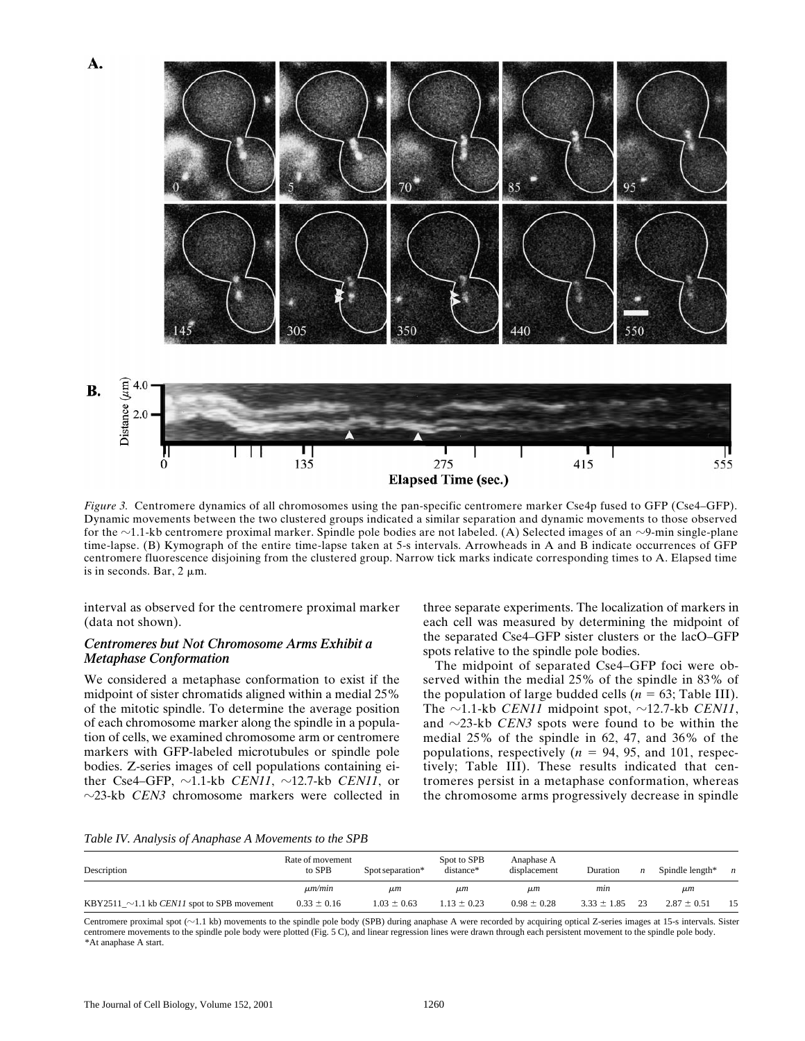

*Figure 3.* Centromere dynamics of all chromosomes using the pan-specific centromere marker Cse4p fused to GFP (Cse4–GFP). Dynamic movements between the two clustered groups indicated a similar separation and dynamic movements to those observed for the  $\sim$ 1.1-kb centromere proximal marker. Spindle pole bodies are not labeled. (A) Selected images of an  $\sim$ 9-min single-plane time-lapse. (B) Kymograph of the entire time-lapse taken at 5-s intervals. Arrowheads in A and B indicate occurrences of GFP centromere fluorescence disjoining from the clustered group. Narrow tick marks indicate corresponding times to A. Elapsed time is in seconds. Bar,  $2 \mu m$ .

interval as observed for the centromere proximal marker (data not shown).

#### *Centromeres but Not Chromosome Arms Exhibit a Metaphase Conformation*

We considered a metaphase conformation to exist if the midpoint of sister chromatids aligned within a medial 25% of the mitotic spindle. To determine the average position of each chromosome marker along the spindle in a population of cells, we examined chromosome arm or centromere markers with GFP-labeled microtubules or spindle pole bodies. Z-series images of cell populations containing either Cse4–GFP,  $\sim$ 1.1-kb *CEN11*,  $\sim$ 12.7-kb *CEN11*, or  $\sim$ 23-kb *CEN3* chromosome markers were collected in

three separate experiments. The localization of markers in each cell was measured by determining the midpoint of the separated Cse4–GFP sister clusters or the lacO–GFP spots relative to the spindle pole bodies.

The midpoint of separated Cse4–GFP foci were observed within the medial 25% of the spindle in 83% of the population of large budded cells ( $n = 63$ ; Table III). The  $\sim$ 1.1-kb *CEN11* midpoint spot,  $\sim$ 12.7-kb *CEN11*, and  $\sim$ 23-kb *CEN3* spots were found to be within the medial 25% of the spindle in 62, 47, and 36% of the populations, respectively  $(n = 94, 95,$  and 101, respectively; Table III). These results indicated that centromeres persist in a metaphase conformation, whereas the chromosome arms progressively decrease in spindle

*Table IV. Analysis of Anaphase A Movements to the SPB* 

| Description                                              | Rate of movement<br>to SPB | Spot separation* | Spot to SPB<br>distance* | Anaphase A<br>displacement | Duration        | n  | Spindle length* | $\boldsymbol{n}$ |
|----------------------------------------------------------|----------------------------|------------------|--------------------------|----------------------------|-----------------|----|-----------------|------------------|
|                                                          | $\mu m/min$                | $\mu$ m          | $\mu$ m                  | $\mu$ m                    | mın             |    | $\mu$ m         |                  |
| KBY2511_ $\sim$ 1.1 kb <i>CEN11</i> spot to SPB movement | $0.33 \pm 0.16$            | $1.03 \pm 0.63$  | $1.13 \pm 0.23$          | $0.98 \pm 0.28$            | $3.33 \pm 1.85$ | 23 | $2.87 \pm 0.51$ | 15               |

Centromere proximal spot ( $\sim$ 1.1 kb) movements to the spindle pole body (SPB) during anaphase A were recorded by acquiring optical Z-series images at 15-s intervals. Sister centromere movements to the spindle pole body were plotted (Fig. 5 C), and linear regression lines were drawn through each persistent movement to the spindle pole body. \*At anaphase A start.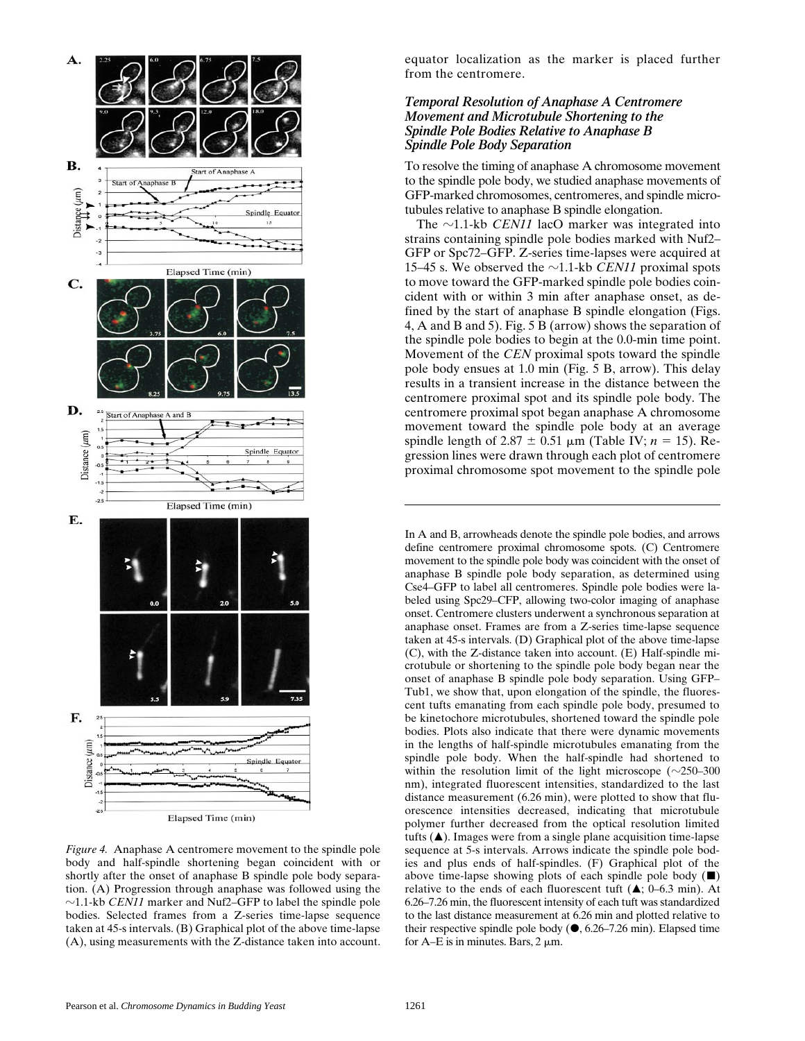

*Figure 4.* Anaphase A centromere movement to the spindle pole body and half-spindle shortening began coincident with or shortly after the onset of anaphase B spindle pole body separation. (A) Progression through anaphase was followed using the  $\sim$ 1.1-kb *CEN11* marker and Nuf2–GFP to label the spindle pole bodies. Selected frames from a Z-series time-lapse sequence taken at 45-s intervals. (B) Graphical plot of the above time-lapse (A), using measurements with the Z-distance taken into account.

equator localization as the marker is placed further from the centromere.

# *Temporal Resolution of Anaphase A Centromere Movement and Microtubule Shortening to the Spindle Pole Bodies Relative to Anaphase B Spindle Pole Body Separation*

To resolve the timing of anaphase A chromosome movement to the spindle pole body, we studied anaphase movements of GFP-marked chromosomes, centromeres, and spindle microtubules relative to anaphase B spindle elongation.

The  $\sim$ 1.1-kb *CEN11* lacO marker was integrated into strains containing spindle pole bodies marked with Nuf2– GFP or Spc72–GFP. Z-series time-lapses were acquired at 15–45 s. We observed the  $\sim$ 1.1-kb *CEN11* proximal spots to move toward the GFP-marked spindle pole bodies coincident with or within 3 min after anaphase onset, as defined by the start of anaphase B spindle elongation (Figs. 4, A and B and 5). Fig. 5 B (arrow) shows the separation of the spindle pole bodies to begin at the 0.0-min time point. Movement of the *CEN* proximal spots toward the spindle pole body ensues at 1.0 min (Fig. 5 B, arrow). This delay results in a transient increase in the distance between the centromere proximal spot and its spindle pole body. The centromere proximal spot began anaphase A chromosome movement toward the spindle pole body at an average spindle length of 2.87  $\pm$  0.51  $\mu$ m (Table IV; *n* = 15). Regression lines were drawn through each plot of centromere proximal chromosome spot movement to the spindle pole

In A and B, arrowheads denote the spindle pole bodies, and arrows define centromere proximal chromosome spots. (C) Centromere movement to the spindle pole body was coincident with the onset of anaphase B spindle pole body separation, as determined using Cse4–GFP to label all centromeres. Spindle pole bodies were labeled using Spc29–CFP, allowing two-color imaging of anaphase onset. Centromere clusters underwent a synchronous separation at anaphase onset. Frames are from a Z-series time-lapse sequence taken at 45-s intervals. (D) Graphical plot of the above time-lapse (C), with the Z-distance taken into account. (E) Half-spindle microtubule or shortening to the spindle pole body began near the onset of anaphase B spindle pole body separation. Using GFP– Tub1, we show that, upon elongation of the spindle, the fluorescent tufts emanating from each spindle pole body, presumed to be kinetochore microtubules, shortened toward the spindle pole bodies. Plots also indicate that there were dynamic movements in the lengths of half-spindle microtubules emanating from the spindle pole body. When the half-spindle had shortened to within the resolution limit of the light microscope  $(\sim 250-300$ nm), integrated fluorescent intensities, standardized to the last distance measurement (6.26 min), were plotted to show that fluorescence intensities decreased, indicating that microtubule polymer further decreased from the optical resolution limited tufts  $(\triangle)$ . Images were from a single plane acquisition time-lapse sequence at 5-s intervals. Arrows indicate the spindle pole bodies and plus ends of half-spindles. (F) Graphical plot of the above time-lapse showing plots of each spindle pole body  $(\blacksquare)$ relative to the ends of each fluorescent tuft  $(A; 0-6.3 \text{ min})$ . At 6.26–7.26 min, the fluorescent intensity of each tuft was standardized to the last distance measurement at 6.26 min and plotted relative to their respective spindle pole body  $(\bullet, 6.26-7.26 \text{ min})$ . Elapsed time for A–E is in minutes. Bars,  $2 \mu m$ .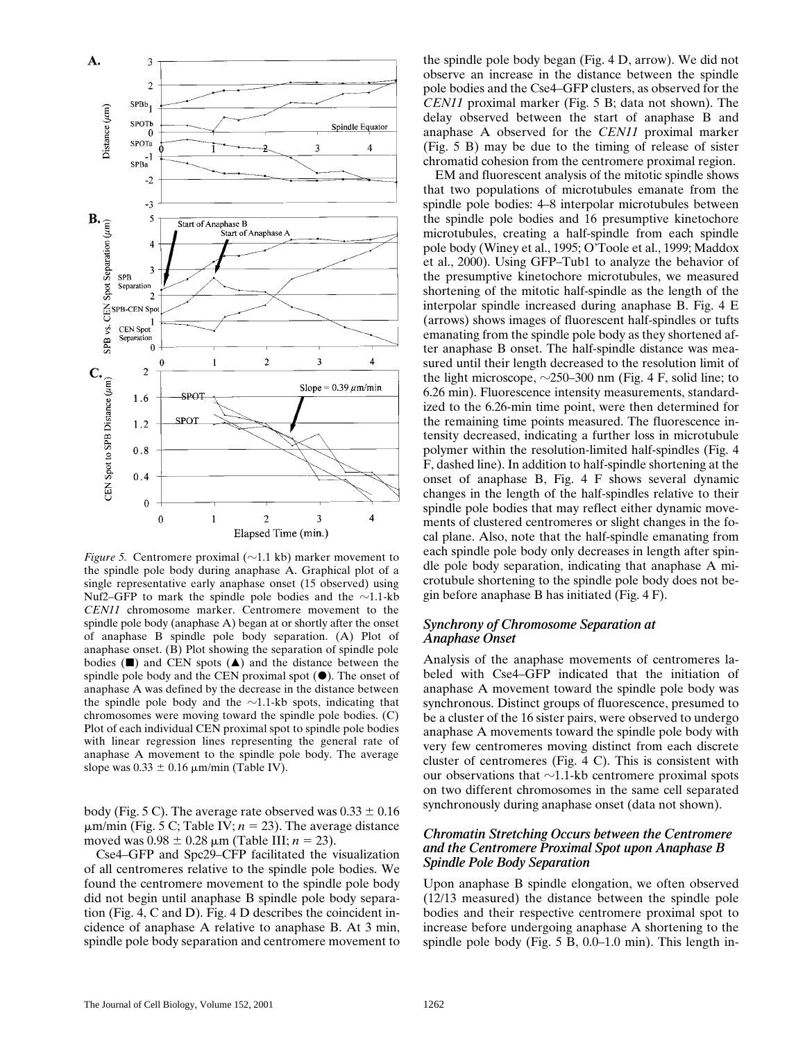

*Figure 5.* Centromere proximal ( $\sim$ 1.1 kb) marker movement to the spindle pole body during anaphase A. Graphical plot of a single representative early anaphase onset (15 observed) using Nuf2–GFP to mark the spindle pole bodies and the  $\sim$ 1.1-kb *CEN11* chromosome marker. Centromere movement to the spindle pole body (anaphase A) began at or shortly after the onset of anaphase B spindle pole body separation. (A) Plot of anaphase onset. (B) Plot showing the separation of spindle pole bodies  $(\blacksquare)$  and CEN spots  $(\blacktriangle)$  and the distance between the spindle pole body and the CEN proximal spot  $(\bullet)$ . The onset of anaphase A was defined by the decrease in the distance between the spindle pole body and the  $\sim$ 1.1-kb spots, indicating that chromosomes were moving toward the spindle pole bodies. (C) Plot of each individual CEN proximal spot to spindle pole bodies with linear regression lines representing the general rate of anaphase A movement to the spindle pole body. The average slope was  $0.33 \pm 0.16$   $\mu$ m/min (Table IV).

body (Fig. 5 C). The average rate observed was  $0.33 \pm 0.16$  $\mu$ m/min (Fig. 5 C; Table IV;  $n = 23$ ). The average distance moved was  $0.98 \pm 0.28 \,\mu m$  (Table III; *n* = 23).

Cse4–GFP and Spc29–CFP facilitated the visualization of all centromeres relative to the spindle pole bodies. We found the centromere movement to the spindle pole body did not begin until anaphase B spindle pole body separation (Fig. 4, C and D). Fig. 4 D describes the coincident incidence of anaphase A relative to anaphase B. At 3 min, spindle pole body separation and centromere movement to

the spindle pole body began (Fig. 4 D, arrow). We did not observe an increase in the distance between the spindle pole bodies and the Cse4–GFP clusters, as observed for the *CEN11* proximal marker (Fig. 5 B; data not shown). The delay observed between the start of anaphase B and anaphase A observed for the *CEN11* proximal marker (Fig. 5 B) may be due to the timing of release of sister chromatid cohesion from the centromere proximal region.

EM and fluorescent analysis of the mitotic spindle shows that two populations of microtubules emanate from the spindle pole bodies: 4–8 interpolar microtubules between the spindle pole bodies and 16 presumptive kinetochore microtubules, creating a half-spindle from each spindle pole body (Winey et al., 1995; O'Toole et al., 1999; Maddox et al., 2000). Using GFP–Tub1 to analyze the behavior of the presumptive kinetochore microtubules, we measured shortening of the mitotic half-spindle as the length of the interpolar spindle increased during anaphase B. Fig. 4 E (arrows) shows images of fluorescent half-spindles or tufts emanating from the spindle pole body as they shortened after anaphase B onset. The half-spindle distance was measured until their length decreased to the resolution limit of the light microscope,  $\sim$ 250–300 nm (Fig. 4 F, solid line; to 6.26 min). Fluorescence intensity measurements, standardized to the 6.26-min time point, were then determined for the remaining time points measured. The fluorescence intensity decreased, indicating a further loss in microtubule polymer within the resolution-limited half-spindles (Fig. 4 F, dashed line). In addition to half-spindle shortening at the onset of anaphase B, Fig. 4 F shows several dynamic changes in the length of the half-spindles relative to their spindle pole bodies that may reflect either dynamic movements of clustered centromeres or slight changes in the focal plane. Also, note that the half-spindle emanating from each spindle pole body only decreases in length after spindle pole body separation, indicating that anaphase A microtubule shortening to the spindle pole body does not begin before anaphase B has initiated (Fig. 4 F).

#### *Synchrony of Chromosome Separation at Anaphase Onset*

Analysis of the anaphase movements of centromeres labeled with Cse4–GFP indicated that the initiation of anaphase A movement toward the spindle pole body was synchronous. Distinct groups of fluorescence, presumed to be a cluster of the 16 sister pairs, were observed to undergo anaphase A movements toward the spindle pole body with very few centromeres moving distinct from each discrete cluster of centromeres (Fig. 4 C). This is consistent with our observations that  $\sim$ 1.1-kb centromere proximal spots on two different chromosomes in the same cell separated synchronously during anaphase onset (data not shown).

# *Chromatin Stretching Occurs between the Centromere and the Centromere Proximal Spot upon Anaphase B Spindle Pole Body Separation*

Upon anaphase B spindle elongation, we often observed (12/13 measured) the distance between the spindle pole bodies and their respective centromere proximal spot to increase before undergoing anaphase A shortening to the spindle pole body (Fig. 5 B, 0.0–1.0 min). This length in-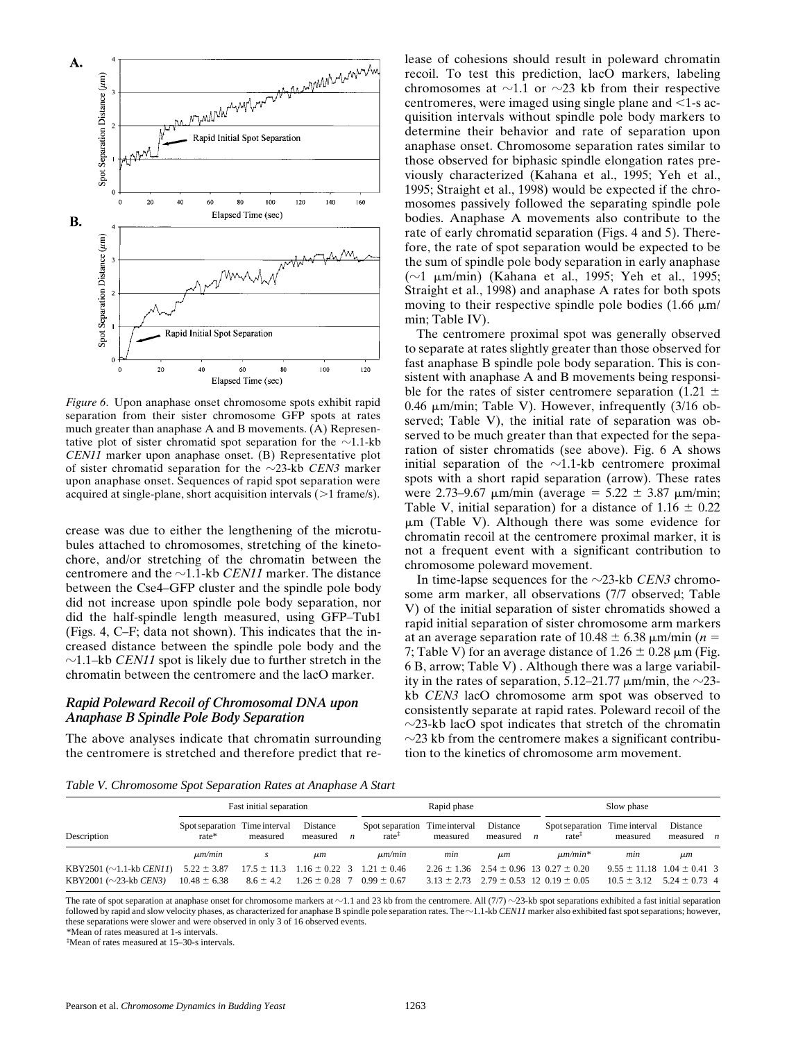

*Figure 6*. Upon anaphase onset chromosome spots exhibit rapid separation from their sister chromosome GFP spots at rates much greater than anaphase A and B movements. (A) Representative plot of sister chromatid spot separation for the  $\sim$ 1.1-kb *CEN11* marker upon anaphase onset. (B) Representative plot of sister chromatid separation for the  $\sim$ 23-kb *CEN3* marker upon anaphase onset. Sequences of rapid spot separation were acquired at single-plane, short acquisition intervals  $(>1$  frame/s).

crease was due to either the lengthening of the microtubules attached to chromosomes, stretching of the kinetochore, and/or stretching of the chromatin between the centromere and the  $\sim$ 1.1-kb *CEN11* marker. The distance between the Cse4–GFP cluster and the spindle pole body did not increase upon spindle pole body separation, nor did the half-spindle length measured, using GFP–Tub1 (Figs. 4, C–F; data not shown). This indicates that the increased distance between the spindle pole body and the  $\sim$ 1.1–kb *CEN11* spot is likely due to further stretch in the chromatin between the centromere and the lacO marker.

### *Rapid Poleward Recoil of Chromosomal DNA upon Anaphase B Spindle Pole Body Separation*

The above analyses indicate that chromatin surrounding the centromere is stretched and therefore predict that re-

lease of cohesions should result in poleward chromatin recoil. To test this prediction, lacO markers, labeling chromosomes at  $\sim$ 1.1 or  $\sim$ 23 kb from their respective centromeres, were imaged using single plane and  $\leq 1$ -s acquisition intervals without spindle pole body markers to determine their behavior and rate of separation upon anaphase onset. Chromosome separation rates similar to those observed for biphasic spindle elongation rates previously characterized (Kahana et al., 1995; Yeh et al., 1995; Straight et al., 1998) would be expected if the chromosomes passively followed the separating spindle pole bodies. Anaphase A movements also contribute to the rate of early chromatid separation (Figs. 4 and 5). Therefore, the rate of spot separation would be expected to be the sum of spindle pole body separation in early anaphase  $(\sim]1 \mu m/min)$  (Kahana et al., 1995; Yeh et al., 1995; Straight et al., 1998) and anaphase A rates for both spots moving to their respective spindle pole bodies  $(1.66 \mu m)$ min; Table IV).

The centromere proximal spot was generally observed to separate at rates slightly greater than those observed for fast anaphase B spindle pole body separation. This is consistent with anaphase A and B movements being responsible for the rates of sister centromere separation (1.21  $\pm$ 0.46  $\mu$ m/min; Table V). However, infrequently (3/16 observed; Table V), the initial rate of separation was observed to be much greater than that expected for the separation of sister chromatids (see above). Fig. 6 A shows initial separation of the  $\sim$ 1.1-kb centromere proximal spots with a short rapid separation (arrow). These rates were 2.73–9.67  $\mu$ m/min (average = 5.22  $\pm$  3.87  $\mu$ m/min; Table V, initial separation) for a distance of  $1.16 \pm 0.22$  $\mu$ m (Table V). Although there was some evidence for chromatin recoil at the centromere proximal marker, it is not a frequent event with a significant contribution to chromosome poleward movement.

In time-lapse sequences for the  $\sim$ 23-kb *CEN3* chromosome arm marker, all observations (7/7 observed; Table V) of the initial separation of sister chromatids showed a rapid initial separation of sister chromosome arm markers at an average separation rate of  $10.48 \pm 6.38$   $\mu$ m/min (*n* = 7; Table V) for an average distance of  $1.26 \pm 0.28 \,\mu m$  (Fig. 6 B, arrow; Table V) . Although there was a large variability in the rates of separation, 5.12–21.77  $\mu$ m/min, the  $\sim$ 23kb *CEN3* lacO chromosome arm spot was observed to consistently separate at rapid rates. Poleward recoil of the  $\sim$ 23-kb lacO spot indicates that stretch of the chromatin  $\sim$ 23 kb from the centromere makes a significant contribution to the kinetics of chromosome arm movement.

*Table V. Chromosome Spot Separation Rates at Anaphase A Start*

|                                                                        | Fast initial separation                |                                  |                      |                | Rapid phase                                          |                                                                                                          |                      | Slow phase     |                                          |                                                       |                          |  |
|------------------------------------------------------------------------|----------------------------------------|----------------------------------|----------------------|----------------|------------------------------------------------------|----------------------------------------------------------------------------------------------------------|----------------------|----------------|------------------------------------------|-------------------------------------------------------|--------------------------|--|
| Description                                                            | Spot separation Time interval<br>rate* | measured                         | Distance<br>measured | $\overline{n}$ | Spot separation Time interval<br>rate <sup>+</sup>   | measured                                                                                                 | Distance<br>measured | $\overline{n}$ | Spot separation Time interval<br>$rate+$ | measured                                              | Distance<br>$measured$ n |  |
|                                                                        | $\mu m/min$                            |                                  | иm                   |                | $\mu m/min$                                          | min                                                                                                      | $\mu$ m              |                | $\mu m/min^*$                            | min                                                   | $\mu$ m                  |  |
| KBY2501 ( $\sim$ 1.1-kb <i>CEN11</i> )<br>KBY2001 ( $\sim$ 23-kb CEN3) | $5.22 \pm 3.87$<br>$10.48 \pm 6.38$    | $17.5 \pm 11.3$<br>$8.6 \pm 4.2$ | $1.26 \pm 0.28$ 7    |                | $1.16 \pm 0.22$ 3 $1.21 \pm 0.46$<br>$0.99 \pm 0.67$ | $2.26 \pm 1.36$ $2.54 \pm 0.96$ 13 $0.27 \pm 0.20$<br>$3.13 \pm 2.73$ $2.79 \pm 0.53$ 12 $0.19 \pm 0.05$ |                      |                |                                          | $9.55 \pm 11.18$ $1.04 \pm 0.41$ 3<br>$10.5 \pm 3.12$ | $5.24 \pm 0.73$ 4        |  |

The rate of spot separation at anaphase onset for chromosome markers at  $\sim$ 1.1 and 23 kb from the centromere. All (7/7)  $\sim$ 23-kb spot separations exhibited a fast initial separation followed by rapid and slow velocity phases, as characterized for anaphase B spindle pole separation rates. The  $\sim$  1.1-kb *CEN11* marker also exhibited fast spot separations; however, these separations were slower and were observed in only 3 of 16 observed events.

\*Mean of rates measured at 1-s intervals.

‡ Mean of rates measured at 15–30-s intervals.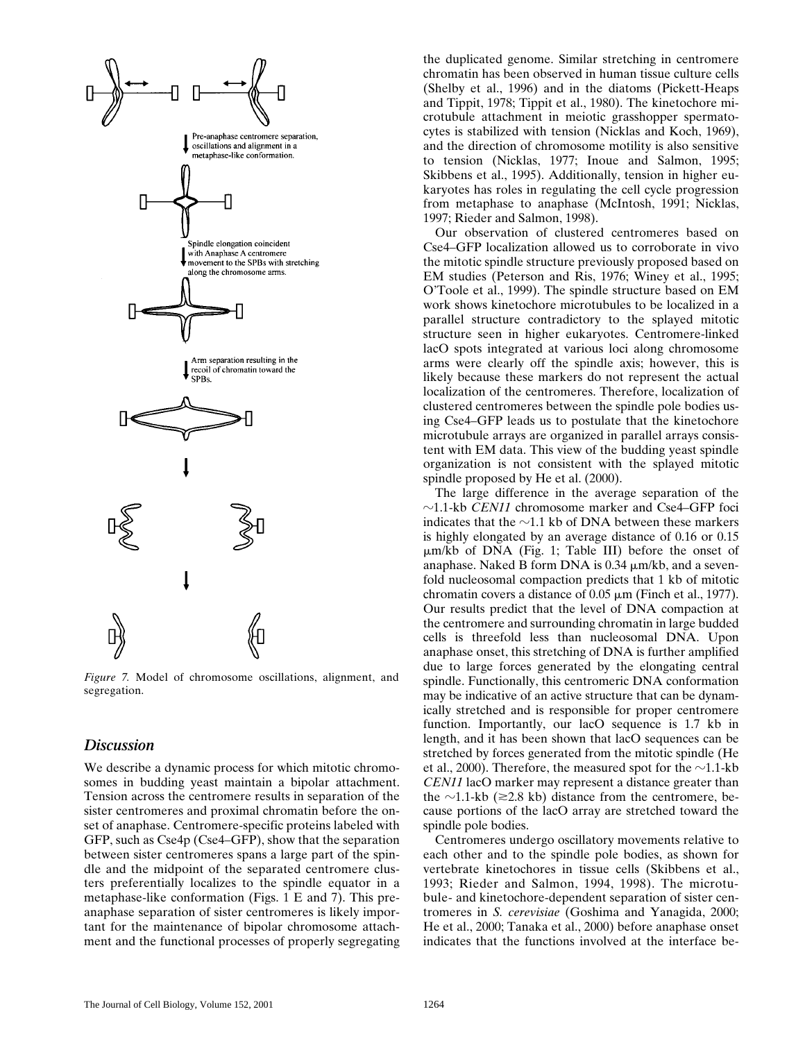

*Figure 7.* Model of chromosome oscillations, alignment, and segregation.

# *Discussion*

We describe a dynamic process for which mitotic chromosomes in budding yeast maintain a bipolar attachment. Tension across the centromere results in separation of the sister centromeres and proximal chromatin before the onset of anaphase. Centromere-specific proteins labeled with GFP, such as Cse4p (Cse4–GFP), show that the separation between sister centromeres spans a large part of the spindle and the midpoint of the separated centromere clusters preferentially localizes to the spindle equator in a metaphase-like conformation (Figs. 1 E and 7). This preanaphase separation of sister centromeres is likely important for the maintenance of bipolar chromosome attachment and the functional processes of properly segregating

the duplicated genome. Similar stretching in centromere chromatin has been observed in human tissue culture cells (Shelby et al., 1996) and in the diatoms (Pickett-Heaps and Tippit, 1978; Tippit et al., 1980). The kinetochore microtubule attachment in meiotic grasshopper spermatocytes is stabilized with tension (Nicklas and Koch, 1969), and the direction of chromosome motility is also sensitive to tension (Nicklas, 1977; Inoue and Salmon, 1995; Skibbens et al., 1995). Additionally, tension in higher eukaryotes has roles in regulating the cell cycle progression from metaphase to anaphase (McIntosh, 1991; Nicklas, 1997; Rieder and Salmon, 1998).

Our observation of clustered centromeres based on Cse4–GFP localization allowed us to corroborate in vivo the mitotic spindle structure previously proposed based on EM studies (Peterson and Ris, 1976; Winey et al., 1995; O'Toole et al., 1999). The spindle structure based on EM work shows kinetochore microtubules to be localized in a parallel structure contradictory to the splayed mitotic structure seen in higher eukaryotes. Centromere-linked lacO spots integrated at various loci along chromosome arms were clearly off the spindle axis; however, this is likely because these markers do not represent the actual localization of the centromeres. Therefore, localization of clustered centromeres between the spindle pole bodies using Cse4–GFP leads us to postulate that the kinetochore microtubule arrays are organized in parallel arrays consistent with EM data. This view of the budding yeast spindle organization is not consistent with the splayed mitotic spindle proposed by He et al. (2000).

The large difference in the average separation of the  $\sim$ 1.1-kb *CEN11* chromosome marker and Cse4–GFP foci indicates that the  $\sim$ 1.1 kb of DNA between these markers is highly elongated by an average distance of 0.16 or 0.15  $\mu$ m/kb of DNA (Fig. 1; Table III) before the onset of anaphase. Naked B form DNA is  $0.34 \mu m/kb$ , and a sevenfold nucleosomal compaction predicts that 1 kb of mitotic chromatin covers a distance of  $0.05 \mu m$  (Finch et al., 1977). Our results predict that the level of DNA compaction at the centromere and surrounding chromatin in large budded cells is threefold less than nucleosomal DNA. Upon anaphase onset, this stretching of DNA is further amplified due to large forces generated by the elongating central spindle. Functionally, this centromeric DNA conformation may be indicative of an active structure that can be dynamically stretched and is responsible for proper centromere function. Importantly, our lacO sequence is 1.7 kb in length, and it has been shown that lacO sequences can be stretched by forces generated from the mitotic spindle (He et al., 2000). Therefore, the measured spot for the  $\sim$ 1.1-kb *CEN11* lacO marker may represent a distance greater than the  $\sim$ 1.1-kb ( $\geq$ 2.8 kb) distance from the centromere, because portions of the lacO array are stretched toward the spindle pole bodies.

Centromeres undergo oscillatory movements relative to each other and to the spindle pole bodies, as shown for vertebrate kinetochores in tissue cells (Skibbens et al., 1993; Rieder and Salmon, 1994, 1998). The microtubule- and kinetochore-dependent separation of sister centromeres in *S. cerevisiae* (Goshima and Yanagida, 2000; He et al., 2000; Tanaka et al., 2000) before anaphase onset indicates that the functions involved at the interface be-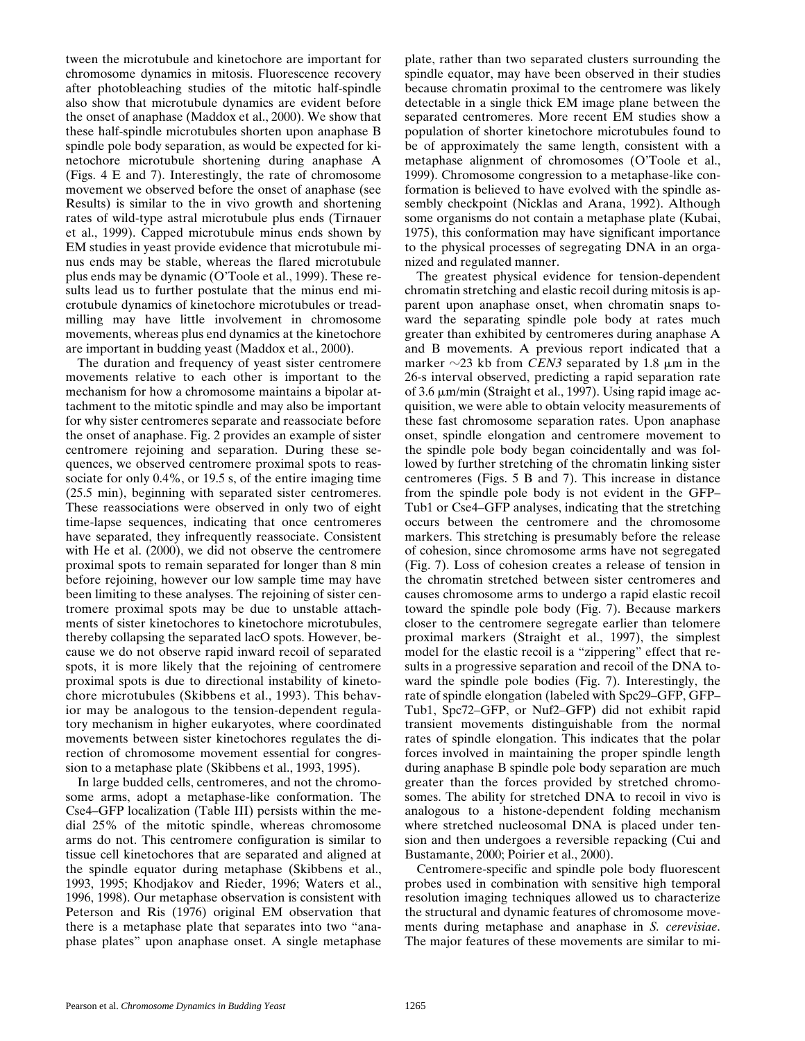tween the microtubule and kinetochore are important for chromosome dynamics in mitosis. Fluorescence recovery after photobleaching studies of the mitotic half-spindle also show that microtubule dynamics are evident before the onset of anaphase (Maddox et al., 2000). We show that these half-spindle microtubules shorten upon anaphase B spindle pole body separation, as would be expected for kinetochore microtubule shortening during anaphase A (Figs. 4 E and 7). Interestingly, the rate of chromosome movement we observed before the onset of anaphase (see Results) is similar to the in vivo growth and shortening rates of wild-type astral microtubule plus ends (Tirnauer et al., 1999). Capped microtubule minus ends shown by EM studies in yeast provide evidence that microtubule minus ends may be stable, whereas the flared microtubule plus ends may be dynamic (O'Toole et al., 1999). These results lead us to further postulate that the minus end microtubule dynamics of kinetochore microtubules or treadmilling may have little involvement in chromosome movements, whereas plus end dynamics at the kinetochore are important in budding yeast (Maddox et al., 2000).

The duration and frequency of yeast sister centromere movements relative to each other is important to the mechanism for how a chromosome maintains a bipolar attachment to the mitotic spindle and may also be important for why sister centromeres separate and reassociate before the onset of anaphase. Fig. 2 provides an example of sister centromere rejoining and separation. During these sequences, we observed centromere proximal spots to reassociate for only 0.4%, or 19.5 s, of the entire imaging time (25.5 min), beginning with separated sister centromeres. These reassociations were observed in only two of eight time-lapse sequences, indicating that once centromeres have separated, they infrequently reassociate. Consistent with He et al.  $(2000)$ , we did not observe the centromere proximal spots to remain separated for longer than 8 min before rejoining, however our low sample time may have been limiting to these analyses. The rejoining of sister centromere proximal spots may be due to unstable attachments of sister kinetochores to kinetochore microtubules, thereby collapsing the separated lacO spots. However, because we do not observe rapid inward recoil of separated spots, it is more likely that the rejoining of centromere proximal spots is due to directional instability of kinetochore microtubules (Skibbens et al., 1993). This behavior may be analogous to the tension-dependent regulatory mechanism in higher eukaryotes, where coordinated movements between sister kinetochores regulates the direction of chromosome movement essential for congression to a metaphase plate (Skibbens et al., 1993, 1995).

In large budded cells, centromeres, and not the chromosome arms, adopt a metaphase-like conformation. The Cse4–GFP localization (Table III) persists within the medial 25% of the mitotic spindle, whereas chromosome arms do not. This centromere configuration is similar to tissue cell kinetochores that are separated and aligned at the spindle equator during metaphase (Skibbens et al., 1993, 1995; Khodjakov and Rieder, 1996; Waters et al., 1996, 1998). Our metaphase observation is consistent with Peterson and Ris (1976) original EM observation that there is a metaphase plate that separates into two "anaphase plates" upon anaphase onset. A single metaphase

plate, rather than two separated clusters surrounding the spindle equator, may have been observed in their studies because chromatin proximal to the centromere was likely detectable in a single thick EM image plane between the separated centromeres. More recent EM studies show a population of shorter kinetochore microtubules found to be of approximately the same length, consistent with a metaphase alignment of chromosomes (O'Toole et al., 1999). Chromosome congression to a metaphase-like conformation is believed to have evolved with the spindle assembly checkpoint (Nicklas and Arana, 1992). Although some organisms do not contain a metaphase plate (Kubai, 1975), this conformation may have significant importance to the physical processes of segregating DNA in an organized and regulated manner.

The greatest physical evidence for tension-dependent chromatin stretching and elastic recoil during mitosis is apparent upon anaphase onset, when chromatin snaps toward the separating spindle pole body at rates much greater than exhibited by centromeres during anaphase A and B movements. A previous report indicated that a marker  $\sim$ 23 kb from *CEN3* separated by 1.8  $\mu$ m in the 26-s interval observed, predicting a rapid separation rate of 3.6  $\mu$ m/min (Straight et al., 1997). Using rapid image acquisition, we were able to obtain velocity measurements of these fast chromosome separation rates. Upon anaphase onset, spindle elongation and centromere movement to the spindle pole body began coincidentally and was followed by further stretching of the chromatin linking sister centromeres (Figs. 5 B and 7). This increase in distance from the spindle pole body is not evident in the GFP– Tub1 or Cse4–GFP analyses, indicating that the stretching occurs between the centromere and the chromosome markers. This stretching is presumably before the release of cohesion, since chromosome arms have not segregated (Fig. 7). Loss of cohesion creates a release of tension in the chromatin stretched between sister centromeres and causes chromosome arms to undergo a rapid elastic recoil toward the spindle pole body (Fig. 7). Because markers closer to the centromere segregate earlier than telomere proximal markers (Straight et al., 1997), the simplest model for the elastic recoil is a "zippering" effect that results in a progressive separation and recoil of the DNA toward the spindle pole bodies (Fig. 7). Interestingly, the rate of spindle elongation (labeled with Spc29–GFP, GFP– Tub1, Spc72–GFP, or Nuf2–GFP) did not exhibit rapid transient movements distinguishable from the normal rates of spindle elongation. This indicates that the polar forces involved in maintaining the proper spindle length during anaphase B spindle pole body separation are much greater than the forces provided by stretched chromosomes. The ability for stretched DNA to recoil in vivo is analogous to a histone-dependent folding mechanism where stretched nucleosomal DNA is placed under tension and then undergoes a reversible repacking (Cui and Bustamante, 2000; Poirier et al., 2000).

Centromere-specific and spindle pole body fluorescent probes used in combination with sensitive high temporal resolution imaging techniques allowed us to characterize the structural and dynamic features of chromosome movements during metaphase and anaphase in *S. cerevisiae*. The major features of these movements are similar to mi